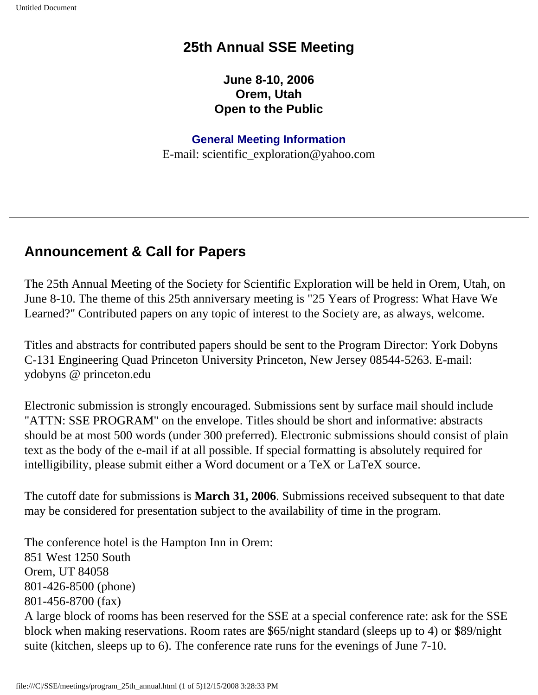#### **25th Annual SSE Meeting**

**June 8-10, 2006 Orem, Utah Open to the Public** 

#### **General Meeting Information**

E-mail: scientific\_exploration@yahoo.com

#### **Announcement & Call for Papers**

The 25th Annual Meeting of the Society for Scientific Exploration will be held in Orem, Utah, on June 8-10. The theme of this 25th anniversary meeting is "25 Years of Progress: What Have We Learned?" Contributed papers on any topic of interest to the Society are, as always, welcome.

Titles and abstracts for contributed papers should be sent to the Program Director: York Dobyns C-131 Engineering Quad Princeton University Princeton, New Jersey 08544-5263. E-mail: ydobyns @ princeton.edu

Electronic submission is strongly encouraged. Submissions sent by surface mail should include "ATTN: SSE PROGRAM" on the envelope. Titles should be short and informative: abstracts should be at most 500 words (under 300 preferred). Electronic submissions should consist of plain text as the body of the e-mail if at all possible. If special formatting is absolutely required for intelligibility, please submit either a Word document or a TeX or LaTeX source.

The cutoff date for submissions is **March 31, 2006**. Submissions received subsequent to that date may be considered for presentation subject to the availability of time in the program.

The conference hotel is the Hampton Inn in Orem: 851 West 1250 South Orem, UT 84058 801-426-8500 (phone) 801-456-8700 (fax) A large block of rooms has been reserved for the SSE at a special conference rate: ask for the SSE block when making reservations. Room rates are \$65/night standard (sleeps up to 4) or \$89/night suite (kitchen, sleeps up to 6). The conference rate runs for the evenings of June 7-10.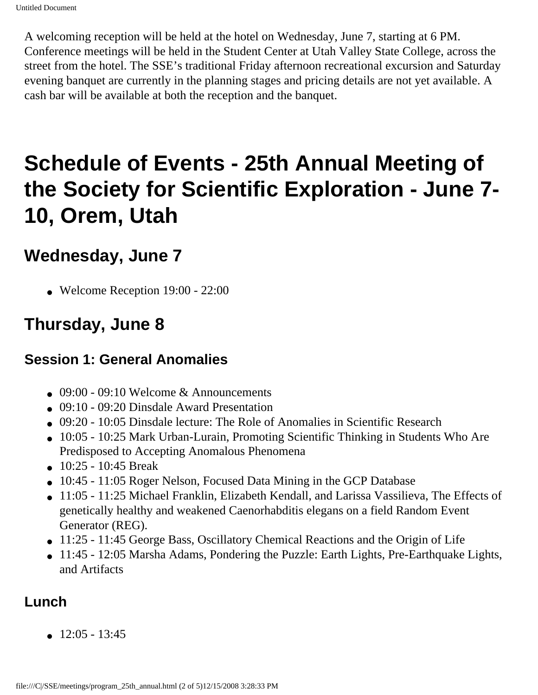A welcoming reception will be held at the hotel on Wednesday, June 7, starting at 6 PM. Conference meetings will be held in the Student Center at Utah Valley State College, across the street from the hotel. The SSE's traditional Friday afternoon recreational excursion and Saturday evening banquet are currently in the planning stages and pricing details are not yet available. A cash bar will be available at both the reception and the banquet.

# **Schedule of Events - 25th Annual Meeting of the Society for Scientific Exploration - June 7- 10, Orem, Utah**

### **Wednesday, June 7**

 $\bullet$  Welcome Reception 19:00 - 22:00

### **Thursday, June 8**

### **Session 1: General Anomalies**

- $\bullet$  09:00 09:10 Welcome & Announcements
- 09:10 09:20 Dinsdale Award Presentation
- 09:20 10:05 Dinsdale lecture: The Role of Anomalies in Scientific Research
- 10:05 10:25 Mark Urban-Lurain, Promoting Scientific Thinking in Students Who Are Predisposed to Accepting Anomalous Phenomena
- $\bullet$  10:25 10:45 Break
- 10:45 11:05 Roger Nelson, Focused Data Mining in the GCP Database
- 11:05 11:25 Michael Franklin, Elizabeth Kendall, and Larissa Vassilieva, The Effects of genetically healthy and weakened Caenorhabditis elegans on a field Random Event Generator (REG).
- 11:25 11:45 George Bass, Oscillatory Chemical Reactions and the Origin of Life
- 11:45 12:05 Marsha Adams, Pondering the Puzzle: Earth Lights, Pre-Earthquake Lights, and Artifacts

### **Lunch**

 $\bullet$  12:05 - 13:45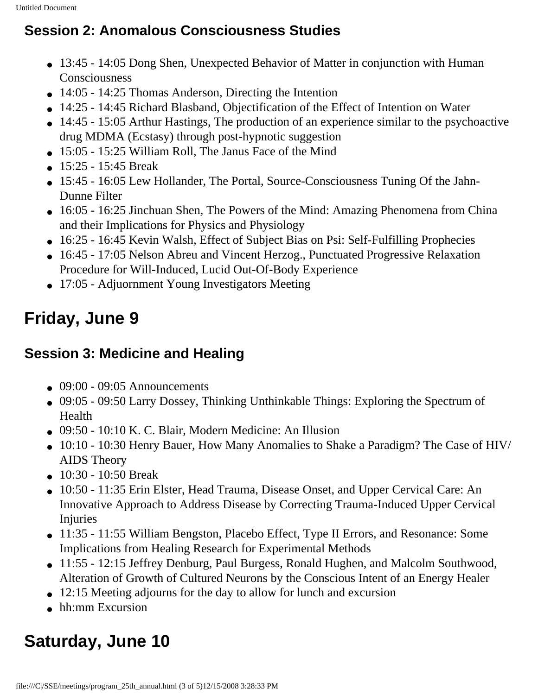### **Session 2: Anomalous Consciousness Studies**

- 13:45 14:05 Dong Shen, Unexpected Behavior of Matter in conjunction with Human Consciousness
- 14:05 14:25 Thomas Anderson, Directing the Intention
- 14:25 14:45 Richard Blasband, Objectification of the Effect of Intention on Water
- 14:45 15:05 Arthur Hastings, The production of an experience similar to the psychoactive drug MDMA (Ecstasy) through post-hypnotic suggestion
- 15:05 15:25 William Roll, The Janus Face of the Mind
- 15:25 15:45 Break
- 15:45 16:05 Lew Hollander, The Portal, Source-Consciousness Tuning Of the Jahn-Dunne Filter
- 16:05 16:25 Jinchuan Shen, The Powers of the Mind: Amazing Phenomena from China and their Implications for Physics and Physiology
- 16:25 16:45 Kevin Walsh, Effect of Subject Bias on Psi: Self-Fulfilling Prophecies
- 16:45 17:05 Nelson Abreu and Vincent Herzog., Punctuated Progressive Relaxation Procedure for Will-Induced, Lucid Out-Of-Body Experience
- 17:05 Adjuornment Young Investigators Meeting

### **Friday, June 9**

### **Session 3: Medicine and Healing**

- $\bullet$  09:00 09:05 Announcements
- 09:05 09:50 Larry Dossey, Thinking Unthinkable Things: Exploring the Spectrum of Health
- 09:50 10:10 K. C. Blair, Modern Medicine: An Illusion
- 10:10 10:30 Henry Bauer, How Many Anomalies to Shake a Paradigm? The Case of HIV/ AIDS Theory
- 10:30 10:50 Break
- 10:50 11:35 Erin Elster, Head Trauma, Disease Onset, and Upper Cervical Care: An Innovative Approach to Address Disease by Correcting Trauma-Induced Upper Cervical Injuries
- 11:35 11:55 William Bengston, Placebo Effect, Type II Errors, and Resonance: Some Implications from Healing Research for Experimental Methods
- 11:55 12:15 Jeffrey Denburg, Paul Burgess, Ronald Hughen, and Malcolm Southwood, Alteration of Growth of Cultured Neurons by the Conscious Intent of an Energy Healer
- 12:15 Meeting adjourns for the day to allow for lunch and excursion
- $\bullet$  hh:mm Excursion

## **Saturday, June 10**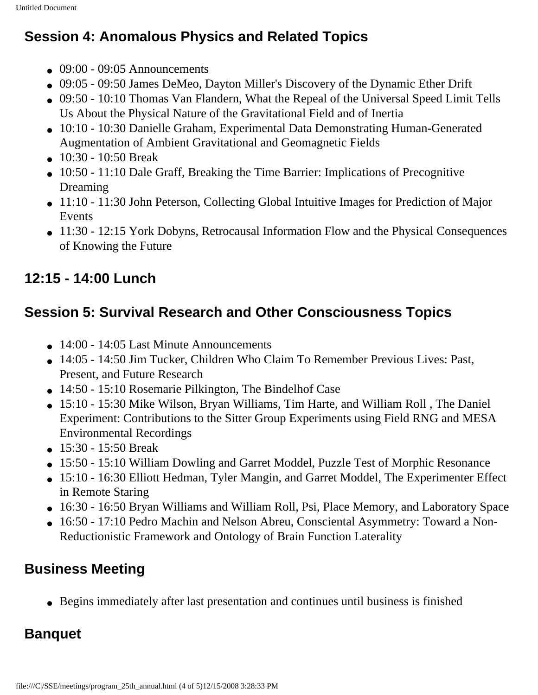### **Session 4: Anomalous Physics and Related Topics**

- $\bullet$  09:00 09:05 Announcements
- 09:05 09:50 James DeMeo, Dayton Miller's Discovery of the Dynamic Ether Drift
- 09:50 10:10 Thomas Van Flandern, What the Repeal of the Universal Speed Limit Tells Us About the Physical Nature of the Gravitational Field and of Inertia
- 10:10 10:30 Danielle Graham, Experimental Data Demonstrating Human-Generated Augmentation of Ambient Gravitational and Geomagnetic Fields
- 10:30 10:50 Break
- 10:50 11:10 Dale Graff, Breaking the Time Barrier: Implications of Precognitive Dreaming
- 11:10 11:30 John Peterson, Collecting Global Intuitive Images for Prediction of Major Events
- 11:30 12:15 York Dobyns, Retrocausal Information Flow and the Physical Consequences of Knowing the Future

### **12:15 - 14:00 Lunch**

### **Session 5: Survival Research and Other Consciousness Topics**

- 14:00 14:05 Last Minute Announcements
- 14:05 14:50 Jim Tucker, Children Who Claim To Remember Previous Lives: Past, Present, and Future Research
- 14:50 15:10 Rosemarie Pilkington, The Bindelhof Case
- 15:10 15:30 Mike Wilson, Bryan Williams, Tim Harte, and William Roll, The Daniel Experiment: Contributions to the Sitter Group Experiments using Field RNG and MESA Environmental Recordings
- 15:30 15:50 Break
- 15:50 15:10 William Dowling and Garret Moddel, Puzzle Test of Morphic Resonance
- 15:10 16:30 Elliott Hedman, Tyler Mangin, and Garret Moddel, The Experimenter Effect in Remote Staring
- 16:30 16:50 Bryan Williams and William Roll, Psi, Place Memory, and Laboratory Space
- 16:50 17:10 Pedro Machin and Nelson Abreu, Consciental Asymmetry: Toward a Non-Reductionistic Framework and Ontology of Brain Function Laterality

### **Business Meeting**

• Begins immediately after last presentation and continues until business is finished

### **Banquet**